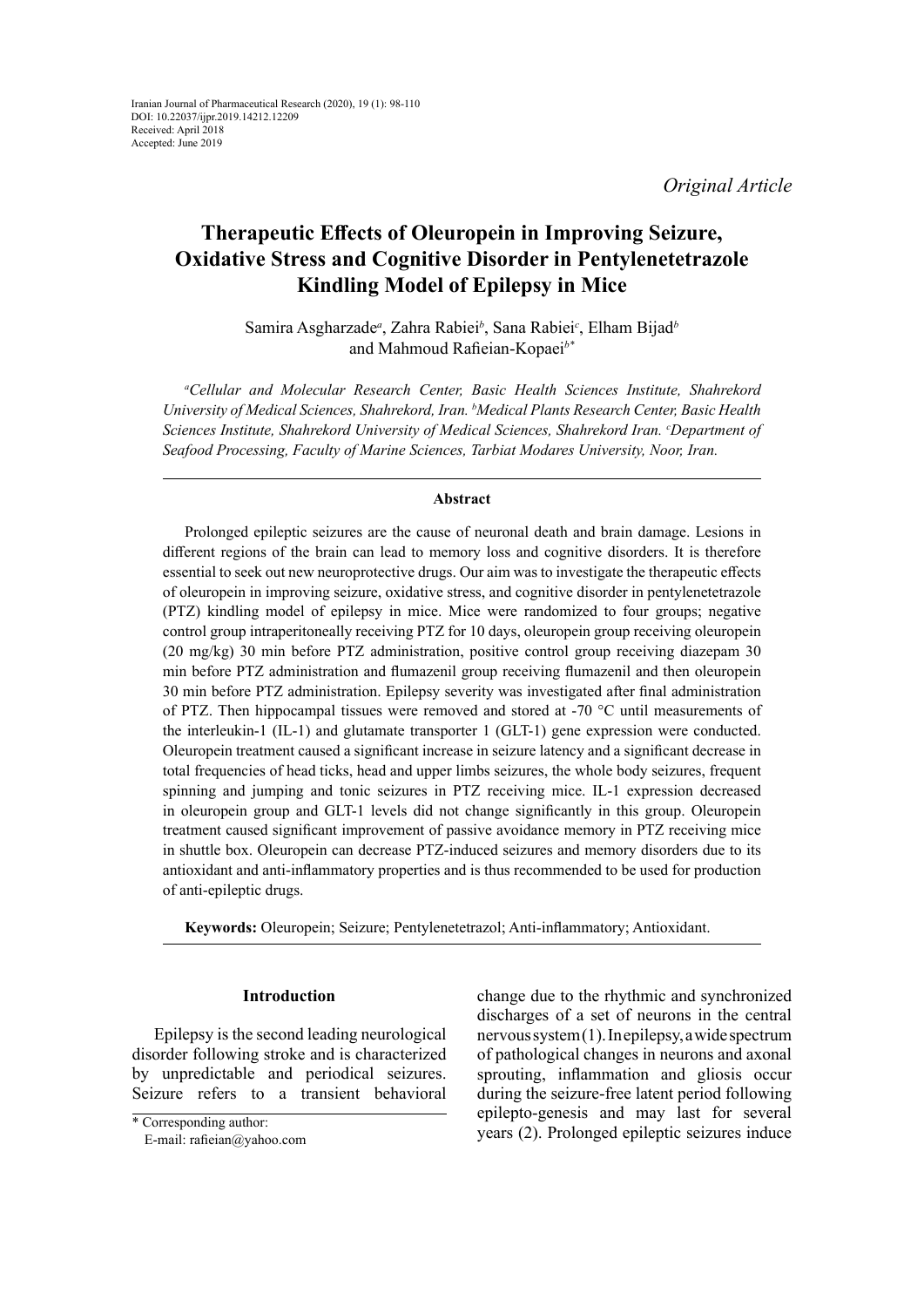# **Therapeutic Effects of Oleuropein in Improving Seizure, Oxidative Stress and Cognitive Disorder in Pentylenetetrazole Kindling Model of Epilepsy in Mice**

Samira Asgharzade*<sup>a</sup>* , Zahra Rabiei*<sup>b</sup>* , Sana Rabiei*<sup>c</sup>* , Elham Bijad*<sup>b</sup>* and Mahmoud Rafieian-Kopaei*b\**

*a Cellular and Molecular Research Center, Basic Health Sciences Institute, Shahrekord University of Medical Sciences, Shahrekord, Iran. b Medical Plants Research Center, Basic Health Sciences Institute, Shahrekord University of Medical Sciences, Shahrekord Iran. c Department of Seafood Processing, Faculty of Marine Sciences, Tarbiat Modares University, Noor, Iran.*

### **Abstract**

Prolonged epileptic seizures are the cause of neuronal death and brain damage. Lesions in different regions of the brain can lead to memory loss and cognitive disorders. It is therefore essential to seek out new neuroprotective drugs. Our aim was to investigate the therapeutic effects of oleuropein in improving seizure, oxidative stress, and cognitive disorder in pentylenetetrazole (PTZ) kindling model of epilepsy in mice. Mice were randomized to four groups; negative control group intraperitoneally receiving PTZ for 10 days, oleuropein group receiving oleuropein (20 mg/kg) 30 min before PTZ administration, positive control group receiving diazepam 30 min before PTZ administration and flumazenil group receiving flumazenil and then oleuropein 30 min before PTZ administration. Epilepsy severity was investigated after final administration of PTZ. Then hippocampal tissues were removed and stored at -70 °C until measurements of the interleukin-1 (IL-1) and glutamate transporter 1 (GLT-1) gene expression were conducted. Oleuropein treatment caused a significant increase in seizure latency and a significant decrease in total frequencies of head ticks, head and upper limbs seizures, the whole body seizures, frequent spinning and jumping and tonic seizures in PTZ receiving mice. IL-1 expression decreased in oleuropein group and GLT-1 levels did not change significantly in this group. Oleuropein treatment caused significant improvement of passive avoidance memory in PTZ receiving mice in shuttle box. Oleuropein can decrease PTZ-induced seizures and memory disorders due to its antioxidant and anti-inflammatory properties and is thus recommended to be used for production of anti-epileptic drugs.

**Keywords:** Oleuropein; Seizure; Pentylenetetrazol; Anti-inflammatory; Antioxidant.

### **Introduction**

Epilepsy is the second leading neurological disorder following stroke and is characterized by unpredictable and periodical seizures. Seizure refers to a transient behavioral change due to the rhythmic and synchronized discharges of a set of neurons in the central nervous system (1). In epilepsy, a wide spectrum of pathological changes in neurons and axonal sprouting, inflammation and gliosis occur during the seizure-free latent period following epilepto-genesis and may last for several years (2). Prolonged epileptic seizures induce

<sup>\*</sup> Corresponding author:

E-mail: rafieian@yahoo.com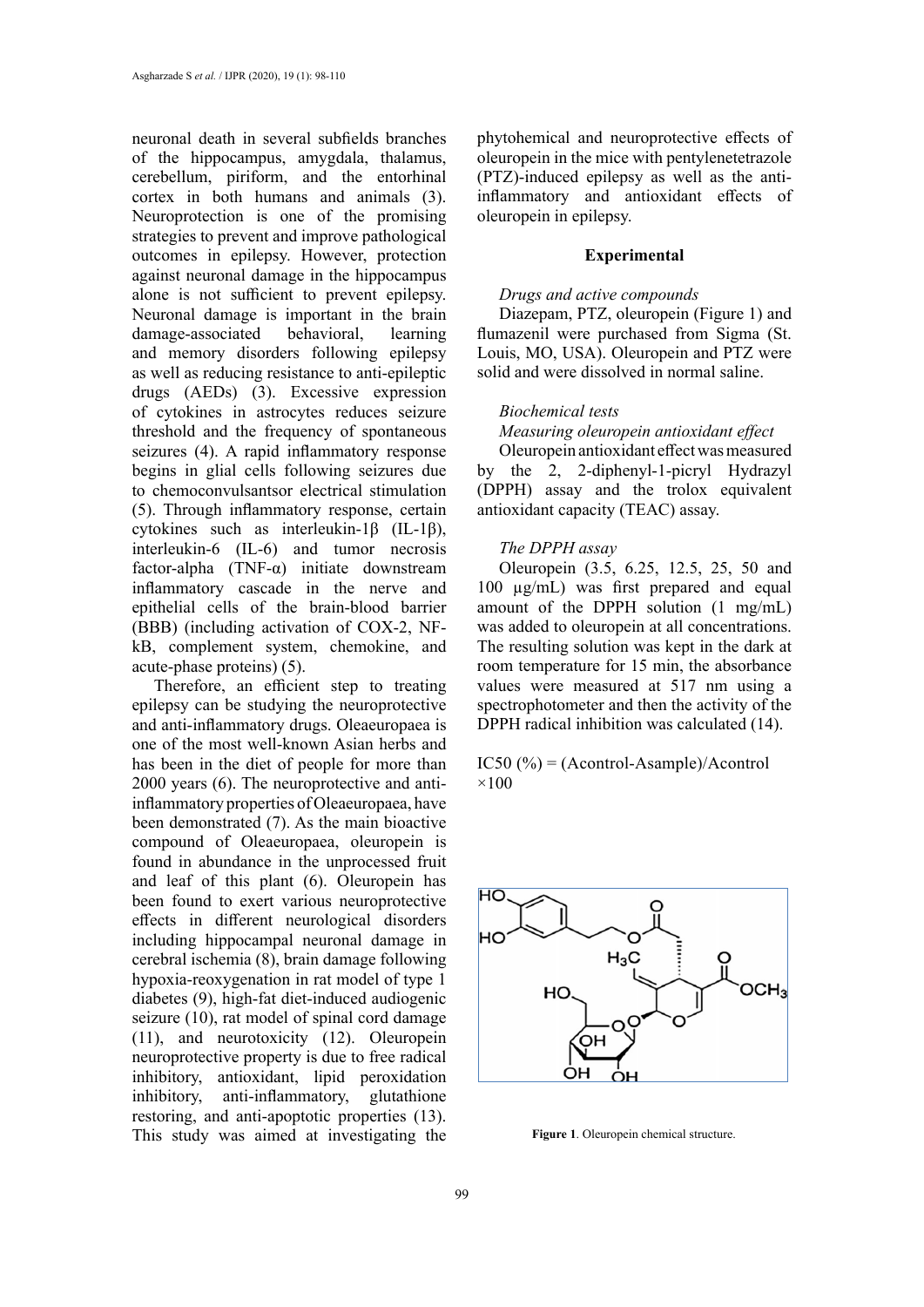neuronal death in several subfields branches of the hippocampus, amygdala, thalamus, cerebellum, piriform, and the entorhinal cortex in both humans and animals (3). Neuroprotection is one of the promising strategies to prevent and improve pathological outcomes in epilepsy. However, protection against neuronal damage in the hippocampus alone is not sufficient to prevent epilepsy. Neuronal damage is important in the brain damage-associated behavioral, learning and memory disorders following epilepsy as well as reducing resistance to anti-epileptic drugs (AEDs) (3). Excessive expression of cytokines in astrocytes reduces seizure threshold and the frequency of spontaneous seizures (4). A rapid inflammatory response begins in glial cells following seizures due to chemoconvulsantsor electrical stimulation (5). Through inflammatory response, certain cytokines such as interleukin-1β (IL-1β), interleukin-6 (IL-6) and tumor necrosis factor-alpha  $(TNF-\alpha)$  initiate downstream inflammatory cascade in the nerve and epithelial cells of the brain-blood barrier (BBB) (including activation of COX-2, NFkB, complement system, chemokine, and acute-phase proteins) (5).

Therefore, an efficient step to treating epilepsy can be studying the neuroprotective and anti-inflammatory drugs. Oleaeuropaea is one of the most well-known Asian herbs and has been in the diet of people for more than 2000 years (6). The neuroprotective and antiinflammatory properties of Oleaeuropaea, have been demonstrated (7). As the main bioactive compound of Oleaeuropaea, oleuropein is found in abundance in the unprocessed fruit and leaf of this plant (6). Oleuropein has been found to exert various neuroprotective effects in different neurological disorders including hippocampal neuronal damage in cerebral ischemia (8), brain damage following hypoxia-reoxygenation in rat model of type 1 diabetes (9), high-fat diet-induced audiogenic seizure (10), rat model of spinal cord damage (11), and neurotoxicity (12). Oleuropein neuroprotective property is due to free radical inhibitory, antioxidant, lipid peroxidation inhibitory, anti-inflammatory, glutathione restoring, and anti-apoptotic properties (13). This study was aimed at investigating the

phytohemical and neuroprotective effects of oleuropein in the mice with pentylenetetrazole (PTZ)-induced epilepsy as well as the antiinflammatory and antioxidant effects of oleuropein in epilepsy.

### **Experimental**

### *Drugs and active compounds*

Diazepam, PTZ, oleuropein (Figure 1) and flumazenil were purchased from Sigma (St. Louis, MO, USA). Oleuropein and PTZ were solid and were dissolved in normal saline.

### *Biochemical tests Measuring oleuropein antioxidant effect*

Oleuropein antioxidant effect was measured by the 2, 2-diphenyl-1-picryl Hydrazyl (DPPH) assay and the trolox equivalent antioxidant capacity (TEAC) assay.

### *The DPPH assay*

Oleuropein (3.5, 6.25, 12.5, 25, 50 and 100 µg/mL) was first prepared and equal amount of the DPPH solution (1 mg/mL) was added to oleuropein at all concentrations. The resulting solution was kept in the dark at room temperature for 15 min, the absorbance values were measured at 517 nm using a spectrophotometer and then the activity of the DPPH radical inhibition was calculated (14).

IC50  $(\%)$  = (Acontrol-Asample)/Acontrol  $\times$ 100



**Figure 1**. Oleuropein chemical structure.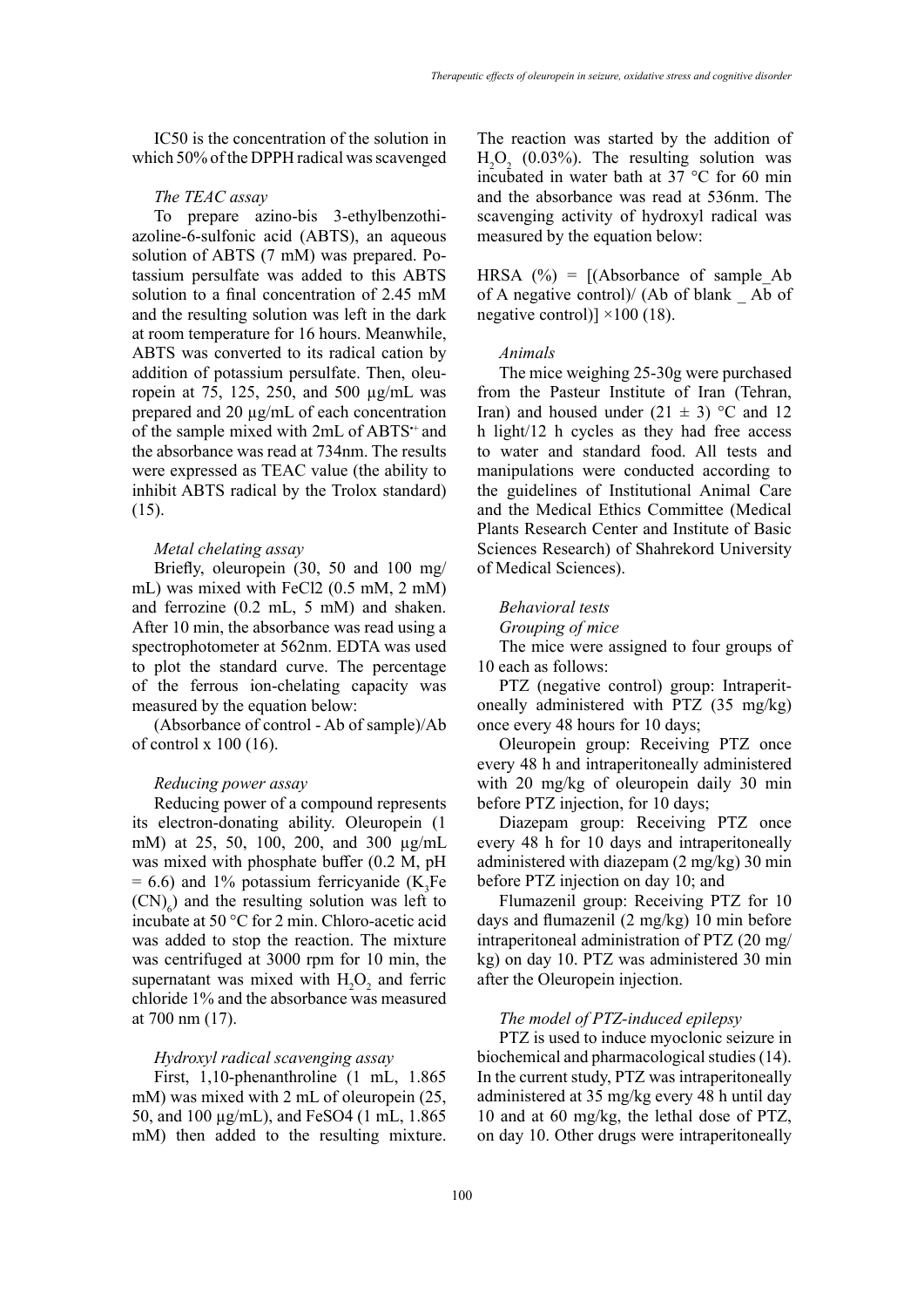IC50 is the concentration of the solution in which 50% of the DPPH radical was scavenged

### *The TEAC assay*

To prepare azino-bis 3-ethylbenzothiazoline-6-sulfonic acid (ABTS), an aqueous solution of ABTS (7 mM) was prepared. Potassium persulfate was added to this ABTS solution to a final concentration of 2.45 mM and the resulting solution was left in the dark at room temperature for 16 hours. Meanwhile, ABTS was converted to its radical cation by addition of potassium persulfate. Then, oleuropein at 75, 125, 250, and 500 µg/mL was prepared and 20 µg/mL of each concentration of the sample mixed with 2mL of ABTS<sup>++</sup> and the absorbance was read at 734nm. The results were expressed as TEAC value (the ability to inhibit ABTS radical by the Trolox standard) (15).

### *Metal chelating assay*

Briefly, oleuropein (30, 50 and 100 mg/ mL) was mixed with FeCl2 (0.5 mM, 2 mM) and ferrozine (0.2 mL, 5 mM) and shaken. After 10 min, the absorbance was read using a spectrophotometer at 562nm. EDTA was used to plot the standard curve. The percentage of the ferrous ion-chelating capacity was measured by the equation below:

(Absorbance of control - Ab of sample)/Ab of control x 100 (16).

### *Reducing power assay*

Reducing power of a compound represents its electron-donating ability. Oleuropein (1 mM) at 25, 50, 100, 200, and 300 µg/mL was mixed with phosphate buffer (0.2 M, pH  $= 6.6$ ) and 1% potassium ferricyanide (K<sub>3</sub>Fe  $(CN)$ <sub>6</sub>) and the resulting solution was left to incubate at 50 °C for 2 min. Chloro-acetic acid was added to stop the reaction. The mixture was centrifuged at 3000 rpm for 10 min, the supernatant was mixed with  $H_2O_2$  and ferric chloride 1% and the absorbance was measured at 700 nm (17).

### *Hydroxyl radical scavenging assay*

First, 1,10-phenanthroline (1 mL, 1.865 mM) was mixed with 2 mL of oleuropein (25, 50, and 100 µg/mL), and FeSO4 (1 mL, 1.865 mM) then added to the resulting mixture. The reaction was started by the addition of  $H_2O_2$  (0.03%). The resulting solution was incubated in water bath at 37 °C for 60 min and the absorbance was read at 536nm. The scavenging activity of hydroxyl radical was measured by the equation below:

HRSA  $(\%) = [$ (Absorbance of sample Ab of A negative control)/ (Ab of blank \_ Ab of negative control)]  $\times$ 100 (18).

#### *Animals*

The mice weighing 25-30g were purchased from the Pasteur Institute of Iran (Tehran, Iran) and housed under  $(21 \pm 3)$  °C and 12 h light/12 h cycles as they had free access to water and standard food. All tests and manipulations were conducted according to the guidelines of Institutional Animal Care and the Medical Ethics Committee (Medical Plants Research Center and Institute of Basic Sciences Research) of Shahrekord University of Medical Sciences).

### *Behavioral tests*

*Grouping of mice*

The mice were assigned to four groups of 10 each as follows:

PTZ (negative control) group: Intraperitoneally administered with PTZ (35 mg/kg) once every 48 hours for 10 days;

Oleuropein group: Receiving PTZ once every 48 h and intraperitoneally administered with 20 mg/kg of oleuropein daily 30 min before PTZ injection, for 10 days;

Diazepam group: Receiving PTZ once every 48 h for 10 days and intraperitoneally administered with diazepam (2 mg/kg) 30 min before PTZ injection on day 10; and

Flumazenil group: Receiving PTZ for 10 days and flumazenil (2 mg/kg) 10 min before intraperitoneal administration of PTZ (20 mg/ kg) on day 10. PTZ was administered 30 min after the Oleuropein injection.

### *The model of PTZ-induced epilepsy*

PTZ is used to induce myoclonic seizure in biochemical and pharmacological studies (14). In the current study, PTZ was intraperitoneally administered at 35 mg/kg every 48 h until day 10 and at 60 mg/kg, the lethal dose of PTZ, on day 10. Other drugs were intraperitoneally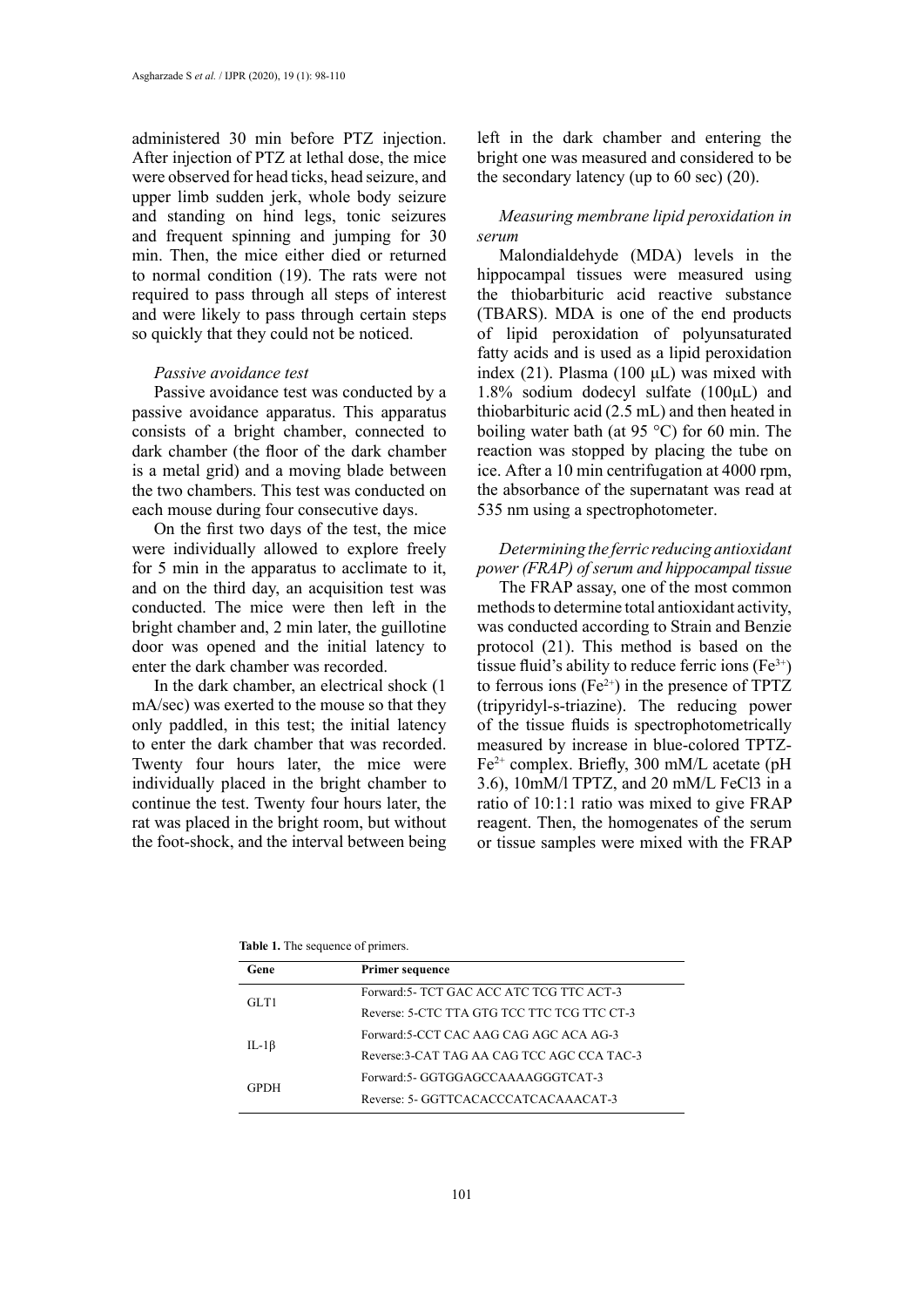administered 30 min before PTZ injection. After injection of PTZ at lethal dose, the mice were observed for head ticks, head seizure, and upper limb sudden jerk, whole body seizure and standing on hind legs, tonic seizures and frequent spinning and jumping for 30 min. Then, the mice either died or returned to normal condition (19). The rats were not required to pass through all steps of interest and were likely to pass through certain steps so quickly that they could not be noticed.

### *Passive avoidance test*

Passive avoidance test was conducted by a passive avoidance apparatus. This apparatus consists of a bright chamber, connected to dark chamber (the floor of the dark chamber is a metal grid) and a moving blade between the two chambers. This test was conducted on each mouse during four consecutive days.

On the first two days of the test, the mice were individually allowed to explore freely for 5 min in the apparatus to acclimate to it, and on the third day, an acquisition test was conducted. The mice were then left in the bright chamber and, 2 min later, the guillotine door was opened and the initial latency to enter the dark chamber was recorded.

In the dark chamber, an electrical shock (1 mA/sec) was exerted to the mouse so that they only paddled, in this test; the initial latency to enter the dark chamber that was recorded. Twenty four hours later, the mice were individually placed in the bright chamber to continue the test. Twenty four hours later, the rat was placed in the bright room, but without the foot-shock, and the interval between being left in the dark chamber and entering the bright one was measured and considered to be the secondary latency (up to 60 sec) (20).

# *Measuring membrane lipid peroxidation in serum*

Malondialdehyde (MDA) levels in the hippocampal tissues were measured using the thiobarbituric acid reactive substance (TBARS). MDA is one of the end products of [lipid peroxidation](https://en.wikipedia.org/wiki/Lipid_peroxidation) of [polyunsaturated](https://en.wikipedia.org/wiki/Polyunsaturated_fat) [fatty acids](https://en.wikipedia.org/wiki/Polyunsaturated_fat) and is used as a lipid peroxidation index (21). Plasma (100  $\mu$ L) was mixed with 1.8% sodium dodecyl sulfate (100μL) and thiobarbituric acid (2.5 mL) and then heated in boiling water bath (at 95 °C) for 60 min. The reaction was stopped by placing the tube on ice. After a 10 min centrifugation at 4000 rpm, the absorbance of the supernatant was read at 535 nm using a spectrophotometer.

# *Determining the ferric reducing antioxidant power (FRAP) of serum and hippocampal tissue*

The FRAP assay, one of the most common methods to determine total antioxidant activity, was conducted according to Strain and Benzie protocol (21). This method is based on the tissue fluid's ability to reduce ferric ions  $(Fe^{3+})$ to ferrous ions  $(Fe^{2+})$  in the presence of TPTZ (tripyridyl-s-triazine). The reducing power of the tissue fluids is spectrophotometrically measured by increase in blue-colored TPTZ- $Fe<sup>2+</sup>$  complex. Briefly, 300 mM/L acetate (pH 3.6), 10mM/l TPTZ, and 20 mM/L FeCl3 in a ratio of 10:1:1 ratio was mixed to give FRAP reagent. Then, the homogenates of the serum or tissue samples were mixed with the FRAP

| Gene         | <b>Primer sequence</b>                      |
|--------------|---------------------------------------------|
| GLT1         | Forward: 5- TCT GAC ACC ATC TCG TTC ACT-3   |
|              | Reverse: 5-CTC TTA GTG TCC TTC TCG TTC CT-3 |
| IL-1 $\beta$ | Forward:5-CCT CAC AAG CAG AGC ACA AG-3      |
|              | Reverse:3-CAT TAG AA CAG TCC AGC CCA TAC-3  |
| <b>GPDH</b>  | Forward:5-GGTGGAGCCAAAAGGGTCAT-3            |
|              | Reverse: 5- GGTTCACACCCATCACAAACAT-3        |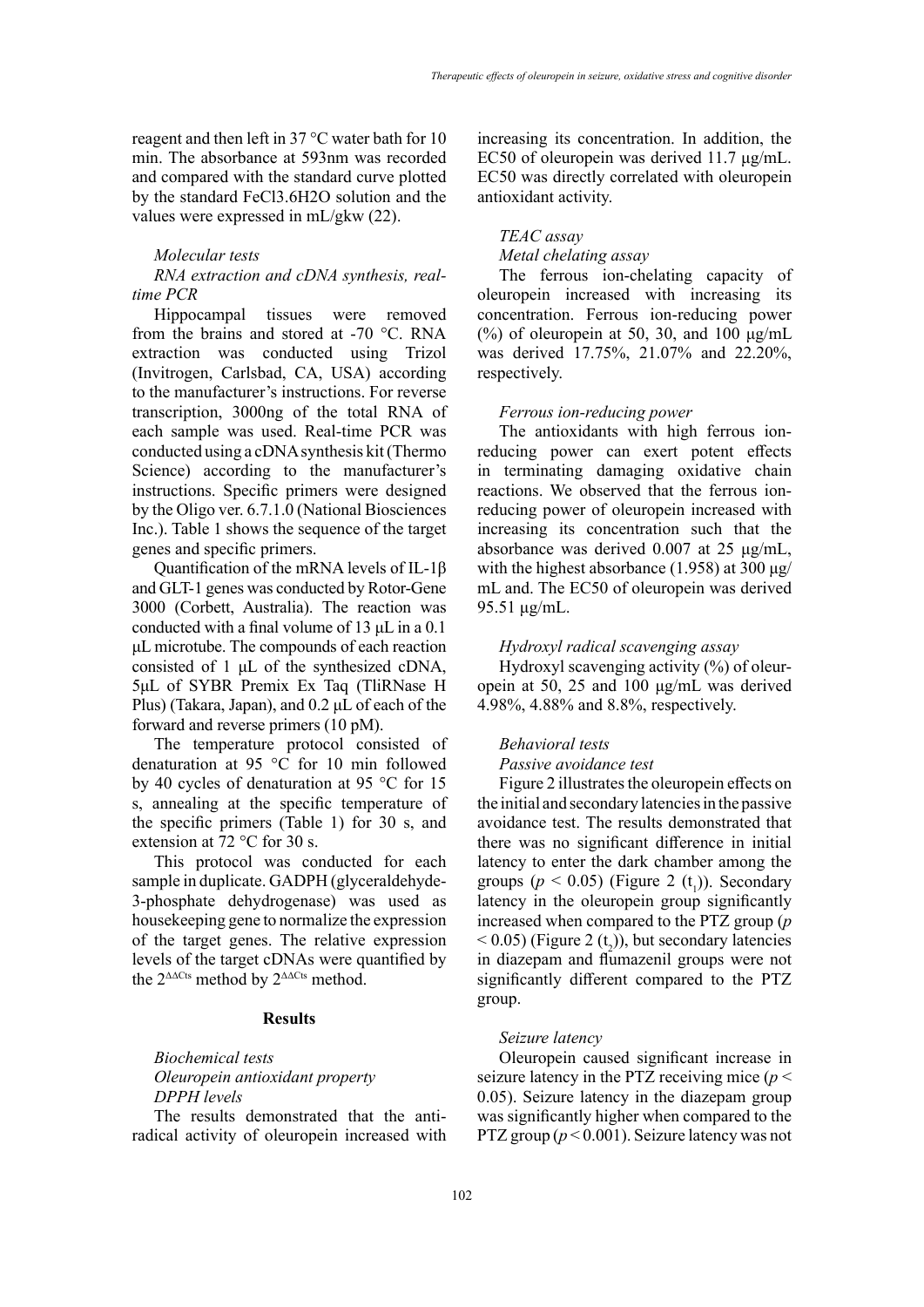reagent and then left in 37 °C water bath for 10 min. The absorbance at 593nm was recorded and compared with the standard curve plotted by the standard FeCl3.6H2O solution and the values were expressed in mL/gkw (22).

### *Molecular tests*

### *RNA extraction and cDNA synthesis, realtime PCR*

Hippocampal tissues were removed from the brains and stored at -70 °C. RNA extraction was conducted using Trizol (Invitrogen, Carlsbad, CA, USA) according to the manufacturer's instructions. For reverse transcription, 3000ng of the total RNA of each sample was used. Real-time PCR was conducted using a cDNA synthesis kit (Thermo Science) according to the manufacturer's instructions. Specific primers were designed by the Oligo ver. 6.7.1.0 (National Biosciences Inc.). Table 1 shows the sequence of the target genes and specific primers.

Quantification of the mRNA levels of IL-1β and GLT-1 genes was conducted by Rotor-Gene 3000 (Corbett, Australia). The reaction was conducted with a final volume of 13 μL in a 0.1 μL microtube. The compounds of each reaction consisted of 1 μL of the synthesized cDNA, 5μL of SYBR Premix Ex Taq (TliRNase H Plus) (Takara, Japan), and 0.2 μL of each of the forward and reverse primers (10 pM).

The temperature protocol consisted of denaturation at 95 °C for 10 min followed by 40 cycles of denaturation at 95 °C for 15 s, annealing at the specific temperature of the specific primers (Table 1) for 30 s, and extension at 72 °C for 30 s.

This protocol was conducted for each sample in duplicate. GADPH (glyceraldehyde-3-phosphate dehydrogenase) was used as housekeeping gene to normalize the expression of the target genes. The relative expression levels of the target cDNAs were quantified by the 2<sup>ΔΔCts</sup> method by 2<sup>ΔΔCts</sup> method.

### **Results**

# *Biochemical tests Oleuropein antioxidant property DPPH levels*

The results demonstrated that the antiradical activity of oleuropein increased with increasing its concentration. In addition, the EC50 of oleuropein was derived 11.7 μg/mL. EC50 was directly correlated with oleuropein antioxidant activity.

# *TEAC assay Metal chelating assay*

The ferrous ion-chelating capacity of oleuropein increased with increasing its concentration. Ferrous ion-reducing power (%) of oleuropein at 50, 30, and 100 μg/mL was derived 17.75%, 21.07% and 22.20%, respectively.

### *Ferrous ion-reducing power*

The antioxidants with high ferrous ionreducing power can exert potent effects in terminating damaging oxidative chain reactions. We observed that the ferrous ionreducing power of oleuropein increased with increasing its concentration such that the absorbance was derived 0.007 at 25 μg/mL, with the highest absorbance (1.958) at 300  $\mu$ g/ mL and. The EC50 of oleuropein was derived 95.51 μg/mL.

### *Hydroxyl radical scavenging assay*

Hydroxyl scavenging activity (%) of oleuropein at 50, 25 and 100 μg/mL was derived 4.98%, 4.88% and 8.8%, respectively.

### *Behavioral tests*

### *Passive avoidance test*

Figure 2 illustrates the oleuropein effects on the initial and secondary latencies in the passive avoidance test. The results demonstrated that there was no significant difference in initial latency to enter the dark chamber among the groups ( $p < 0.05$ ) (Figure 2 (t<sub>1</sub>)). Secondary latency in the oleuropein group significantly increased when compared to the PTZ group (*p*   $<$  0.05) (Figure 2 (t<sub>2</sub>)), but secondary latencies in diazepam and flumazenil groups were not significantly different compared to the PTZ group.

### *Seizure latency*

Oleuropein caused significant increase in seizure latency in the PTZ receiving mice (*p* < 0.05). Seizure latency in the diazepam group was significantly higher when compared to the PTZ group (*p* < 0.001). Seizure latency was not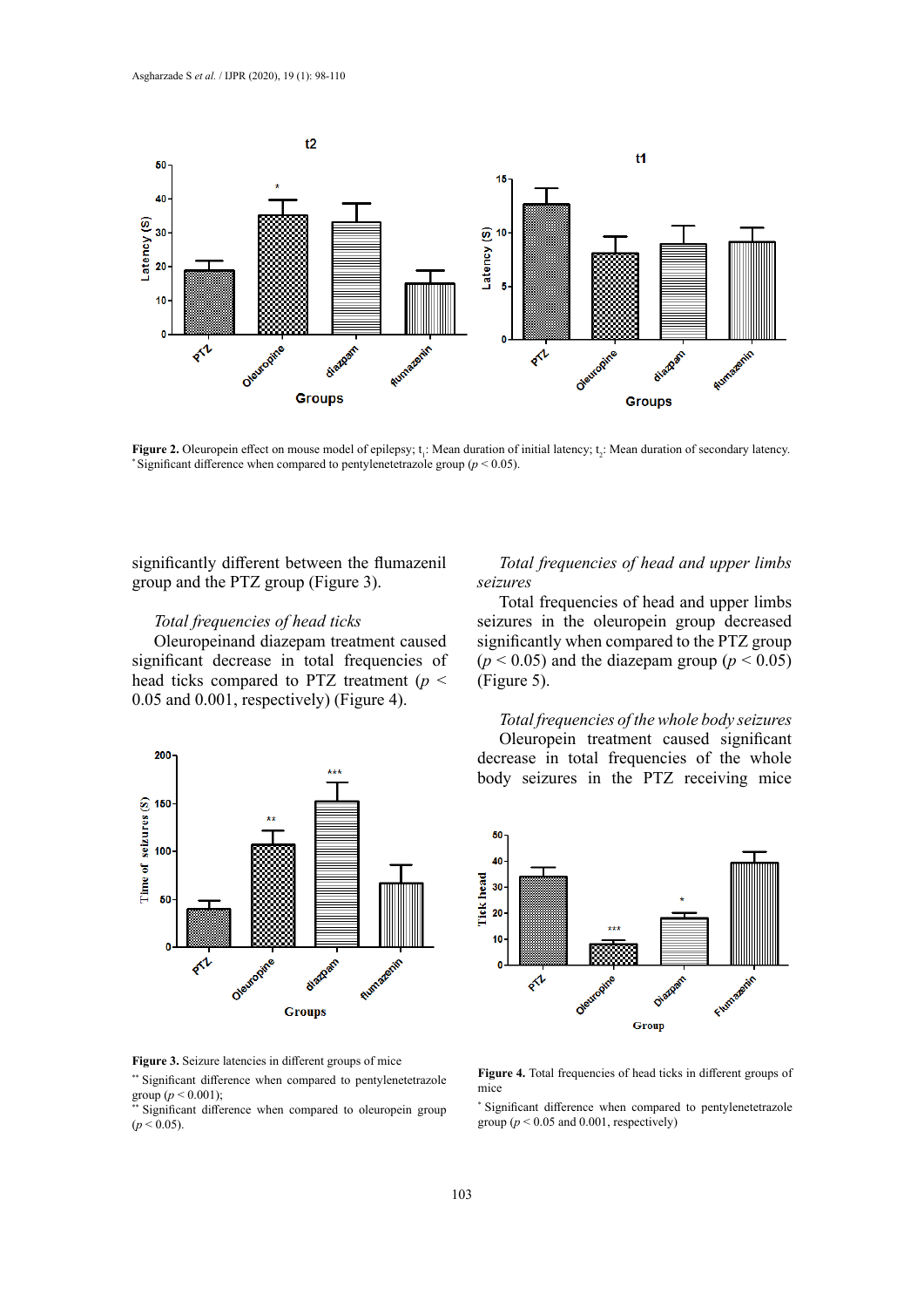

\* Significant difference when compared to pentylenetetrazole group ( $p < 0.05$ ). **Figure 2.** Oleuropein effect on mouse model of epilepsy; t<sub>1</sub>: Mean duration of initial latency; t<sub>2</sub>: Mean duration of secondary latency.

significantly different between the flumazenil group and the PTZ group (Figure 3).

# *Total frequencies of head ticks*

Oleuropeinand diazepam treatment caused significant decrease in total frequencies of head ticks compared to PTZ treatment (*p* < 0.05 and 0.001, respectively) (Figure 4).



**Figure 3.** Seizure latencies in different groups of mice **Figure 3.** Seizure latencies in different groups of mice

\*\* Significant difference when compared to pentylenetetrazole group  $(p < 0.001)$ ; group  $(p < 0.001)$ ;

\*\* Significant difference when compared to oleuropein group (*p* < 0.05). \*\* Significant difference when compared to oleuropein group  $(p < 0.05)$ .

# *Total frequencies of head and upper limbs seizures*

Total frequencies of head and upper limbs seizures in the oleuropein group decreased significantly when compared to the PTZ group  $(p < 0.05)$  and the diazepam group  $(p < 0.05)$ (Figure 5).

*Total frequencies of the whole body seizures* Oleuropein treatment caused significant decrease in total frequencies of the whole body seizures in the PTZ receiving mice



Figure 4. Total frequencies of head ticks in different groups of mice

\* Significant difference when compared to pentylenetetrazole group ( $p < 0.05$  and 0.001, respectively)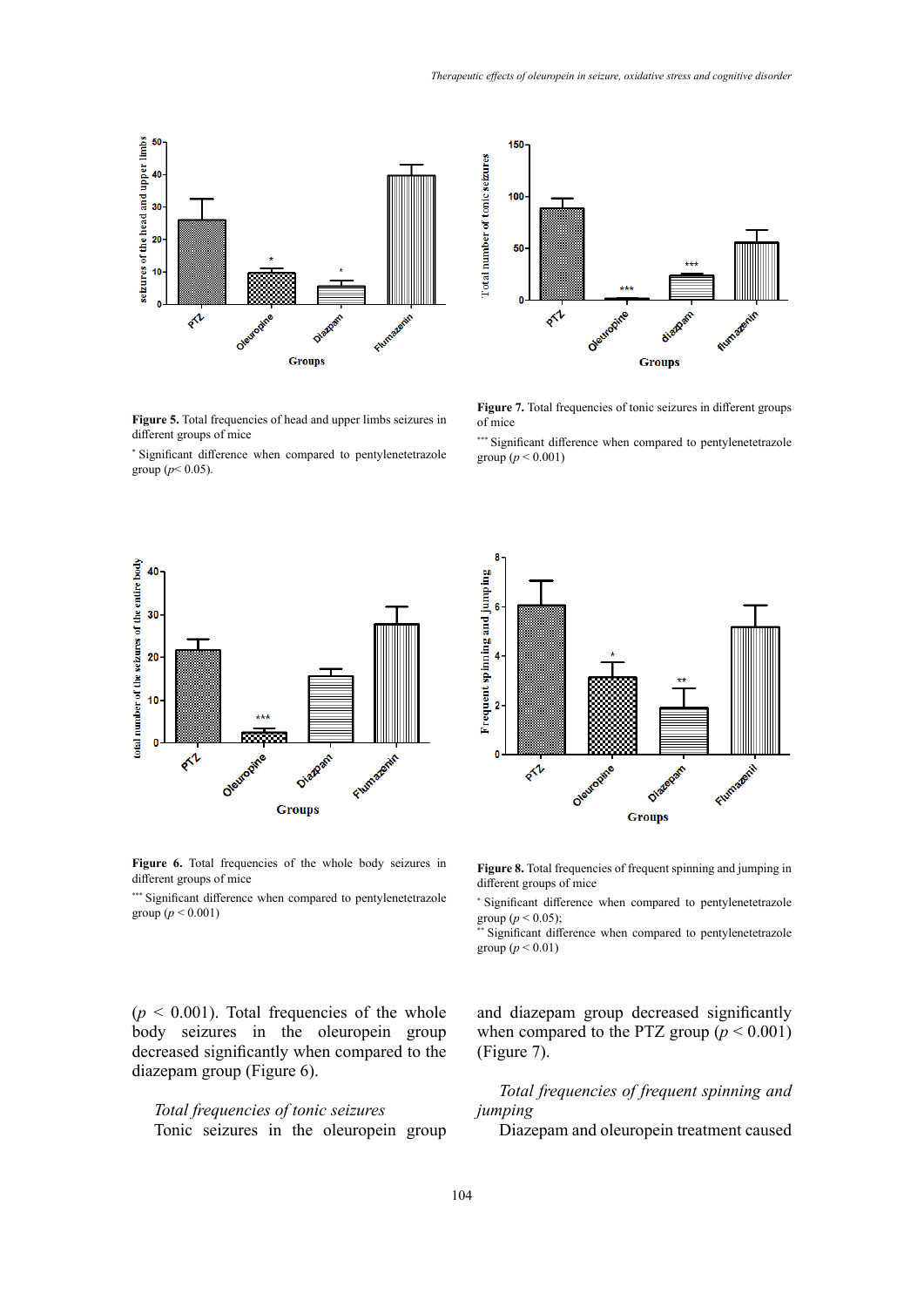

**Figure 5.** Total frequencies of head and upper limbs seizures in **the off mice**  $\ell$ . 10 different groups of mice

\* Significant difference when compared to pentylenetetrazole group ( $p$ < 0.05).



Figure 7. Total frequencies of tonic seizures in different groups of mice

\*\*\* Significant difference when compared to pentylenetetrazole group ( $p < 0.001$ )





**Figure 6.** Total frequencies of the whole body seizures in **Figure 8.** Total frequencies of the whole body seizures in different groups of mice<br>different groups (*p*  $\frac{1}{2}$  different groups (*p*  $\frac{1}{2}$  different groups (*p*  $\frac{1}{2}$  different groups)

\*\*\* Significant difference when compared to pentylenetetrazole group  $(p < 0.001)$ 

**Figure 8.** Total frequencies of frequent spinning and jumping in different groups of mice

 $\text{group } (p \leq 0.05);$ \* Significant difference when compared to pentylenetetrazole

 $\text{group } (p \leq 0.01)$ Significant difference when compared to pentylenetetrazole group  $(p < 0.01)$ 

 $(p < 0.001)$ . Total frequencies of the whole body seizures in the oleuropein group decreased significantly when compared to the diazepam group (Figure 6).

# *Total frequencies of tonic seizures*

Tonic seizures in the oleuropein group

and diazepam group decreased significantly when compared to the PTZ group  $(p < 0.001)$ (Figure 7).

# *Total frequencies of frequent spinning and jumping*

Diazepam and oleuropein treatment caused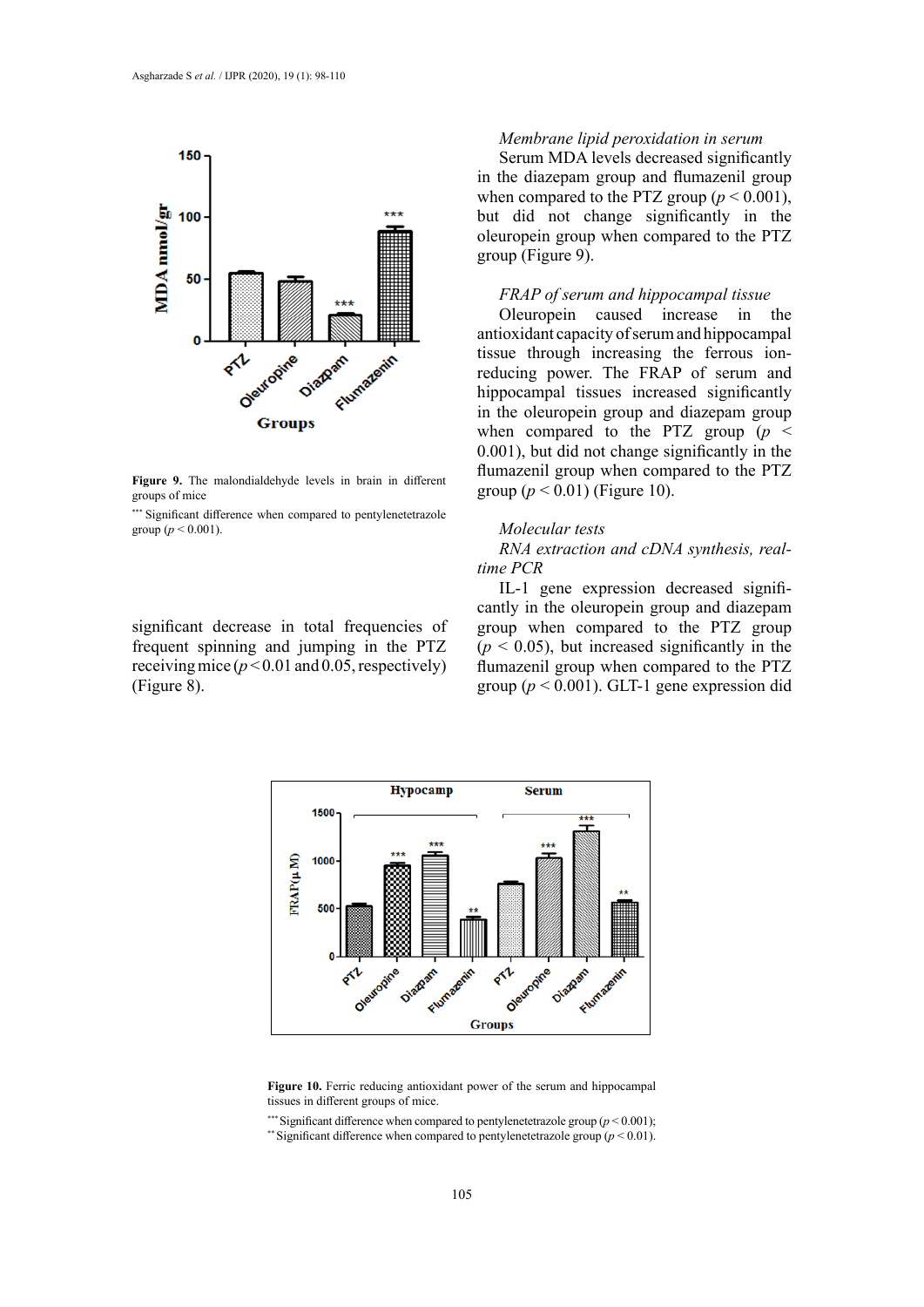

**Figure 9.** The malondialdehyde levels in brain in different flumazenil groups of mice group  $($ *p*  $\lt$  0.0 groups of mice

\*\*\* Significant difference when compared to pentylenetetrazole group ( $p < 0.001$ ).

significant decrease in total frequencies of frequent spinning and jumping in the PTZ receiving mice  $(p<0.01$  and 0.05, respectively) (Figure 8).

# *Membrane lipid peroxidation in serum*

Serum MDA levels decreased significantly in the diazepam group and flumazenil group when compared to the PTZ group  $(p < 0.001)$ , but did not change significantly in the oleuropein group when compared to the PTZ group (Figure 9).

# *FRAP of serum and hippocampal tissue*

Oleuropein caused increase in the antioxidant capacity of serum and hippocampal tissue through increasing the ferrous ionreducing power. The FRAP of serum and hippocampal tissues increased significantly in the oleuropein group and diazepam group when compared to the PTZ group (*p* < 0.001), but did not change significantly in the flumazenil group when compared to the PTZ group (*p* < 0.01) (Figure 10).

### *Molecular tests*

*RNA extraction and cDNA synthesis, realtime PCR* 

IL-1 gene expression decreased significantly in the oleuropein group and diazepam group when compared to the PTZ group  $(p < 0.05)$ , but increased significantly in the flumazenil group when compared to the PTZ group (*p* < 0.001). GLT-1 gene expression did



**Figure 10.** Ferric reducing antioxidant power of the serum and hippocampal tissues in different groups of mice.

\*\*\* Significant difference when compared to pentylenetetrazole group  $(p < 0.001)$ ;

\*\*\* Significant difference when compared to pentylenetetrazole group (*p* < 0.001); \*\* Significant difference when compared to pentylenetetrazole group (*p* < 0.01).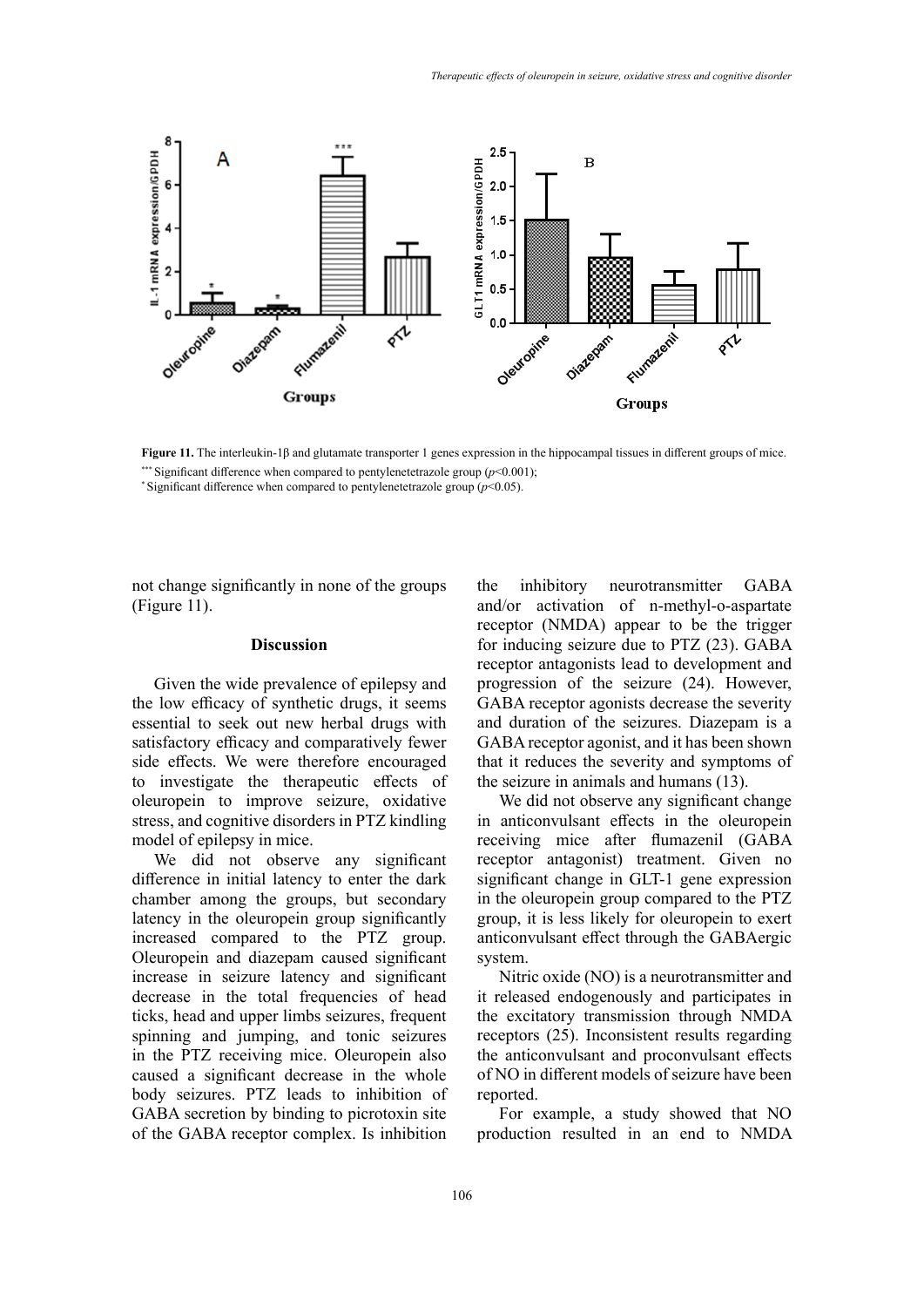

**Figure 11.** The interleukin-1β and glutamate transporter 1 genes expression in the impocampal tissues in unferent groups of line.<br>\*\*\* Significant difference when compared to pentylenetetrazole group (*p*<0.001); **Figure 11.** The interleukin-1β and glutamate transporter 1 genes expression in the hippocampal tissues in different groups of mice.

\* Significant difference when compared to pentylenetetrazole group (*p*<0.05).

not change significantly in none of the groups (Figure 11).

### **Discussion**

Given the wide prevalence of epilepsy and the low efficacy of synthetic drugs, it seems essential to seek out new herbal drugs with satisfactory efficacy and comparatively fewer side effects. We were therefore encouraged to investigate the therapeutic effects of oleuropein to improve seizure, oxidative stress, and cognitive disorders in PTZ kindling model of epilepsy in mice.

We did not observe any significant difference in initial latency to enter the dark chamber among the groups, but secondary latency in the oleuropein group significantly increased compared to the PTZ group. Oleuropein and diazepam caused significant increase in seizure latency and significant decrease in the total frequencies of head ticks, head and upper limbs seizures, frequent spinning and jumping, and tonic seizures in the PTZ receiving mice. Oleuropein also caused a significant decrease in the whole body seizures. PTZ leads to inhibition of GABA secretion by binding to picrotoxin site of the GABA receptor complex. Is inhibition

the inhibitory neurotransmitter GABA and/or activation of n-methyl-o-aspartate receptor (NMDA) appear to be the trigger for inducing seizure due to PTZ (23). GABA receptor antagonists lead to development and progression of the seizure (24). However, GABA receptor agonists decrease the severity and duration of the seizures. Diazepam is a GABA receptor agonist, and it has been shown that it reduces the severity and symptoms of the seizure in animals and humans (13).

We did not observe any significant change in anticonvulsant effects in the oleuropein receiving mice after flumazenil (GABA receptor antagonist) treatment. Given no significant change in GLT-1 gene expression in the oleuropein group compared to the PTZ group, it is less likely for oleuropein to exert anticonvulsant effect through the GABAergic system.

Nitric oxide (NO) is a neurotransmitter and it released endogenously and participates in the excitatory transmission through NMDA receptors (25). Inconsistent results regarding the anticonvulsant and proconvulsant effects of NO in different models of seizure have been reported.

For example, a study showed that NO production resulted in an end to NMDA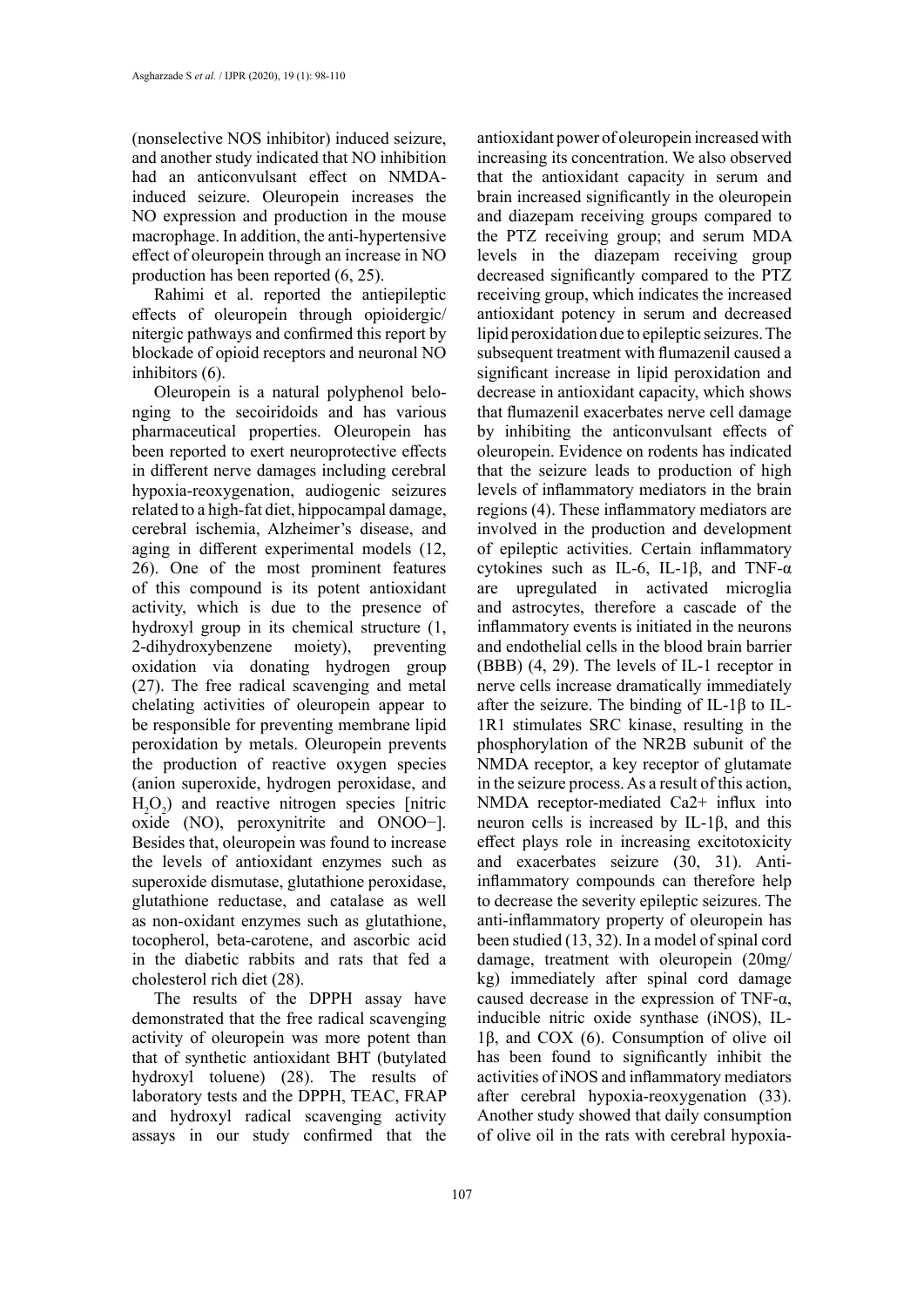(nonselective NOS inhibitor) induced seizure, and another study indicated that NO inhibition had an anticonvulsant effect on NMDAinduced seizure. Oleuropein increases the NO expression and production in the mouse macrophage. In addition, the anti-hypertensive effect of oleuropein through an increase in NO production has been reported (6, 25).

Rahimi et al. reported the antiepileptic effects of oleuropein through opioidergic/ nitergic pathways and confirmed this report by blockade of opioid receptors and neuronal NO inhibitors (6).

Oleuropein is a natural polyphenol belonging to the secoiridoids and has various pharmaceutical properties. Oleuropein has been reported to exert neuroprotective effects in different nerve damages including cerebral hypoxia-reoxygenation, audiogenic seizures related to a high-fat diet, hippocampal damage, cerebral ischemia, Alzheimer's disease, and aging in different experimental models (12, 26). One of the most prominent features of this compound is its potent antioxidant activity, which is due to the presence of hydroxyl group in its chemical structure (1, 2-dihydroxybenzene moiety), preventing oxidation via donating hydrogen group (27). The free radical scavenging and metal chelating activities of oleuropein appear to be responsible for preventing membrane lipid peroxidation by metals. Oleuropein prevents the production of reactive oxygen species (anion superoxide, hydrogen peroxidase, and  $H_2O_2$ ) and reactive nitrogen species [nitric oxide (NO), peroxynitrite and ONOO−]. Besides that, oleuropein was found to increase the levels of antioxidant enzymes such as superoxide dismutase, glutathione peroxidase, glutathione reductase, and catalase as well as non-oxidant enzymes such as glutathione, tocopherol, beta-carotene, and ascorbic acid in the diabetic rabbits and rats that fed a cholesterol rich diet (28).

The results of the DPPH assay have demonstrated that the free radical scavenging activity of oleuropein was more potent than that of synthetic antioxidant BHT (butylated hydroxyl toluene) (28). The results of laboratory tests and the DPPH, TEAC, FRAP and hydroxyl radical scavenging activity assays in our study confirmed that the

antioxidant power of oleuropein increased with increasing its concentration. We also observed that the antioxidant capacity in serum and brain increased significantly in the oleuropein and diazepam receiving groups compared to the PTZ receiving group; and serum MDA levels in the diazepam receiving group decreased significantly compared to the PTZ receiving group, which indicates the increased antioxidant potency in serum and decreased lipid peroxidation due to epileptic seizures. The subsequent treatment with flumazenil caused a significant increase in lipid peroxidation and decrease in antioxidant capacity, which shows that flumazenil exacerbates nerve cell damage by inhibiting the anticonvulsant effects of oleuropein. Evidence on rodents has indicated that the seizure leads to production of high levels of inflammatory mediators in the brain regions (4). These inflammatory mediators are involved in the production and development of epileptic activities. Certain inflammatory cytokines such as IL-6, IL-1β, and TNF-α are upregulated in activated microglia and astrocytes, therefore a cascade of the inflammatory events is initiated in the neurons and endothelial cells in the blood brain barrier (BBB) (4, 29). The levels of IL-1 receptor in nerve cells increase dramatically immediately after the seizure. The binding of IL-1β to IL-1R1 stimulates SRC kinase, resulting in the phosphorylation of the NR2B subunit of the NMDA receptor, a key receptor of glutamate in the seizure process. As a result of this action, NMDA receptor-mediated Ca2+ influx into neuron cells is increased by IL-1β, and this effect plays role in increasing excitotoxicity and exacerbates seizure (30, 31). Antiinflammatory compounds can therefore help to decrease the severity epileptic seizures. The anti-inflammatory property of oleuropein has been studied (13, 32). In a model of spinal cord damage, treatment with oleuropein (20mg/ kg) immediately after spinal cord damage caused decrease in the expression of TNF- $\alpha$ , inducible nitric oxide synthase (iNOS), IL-1β, and COX (6). Consumption of olive oil has been found to significantly inhibit the activities of iNOS and inflammatory mediators after cerebral hypoxia-reoxygenation (33). Another study showed that daily consumption of olive oil in the rats with cerebral hypoxia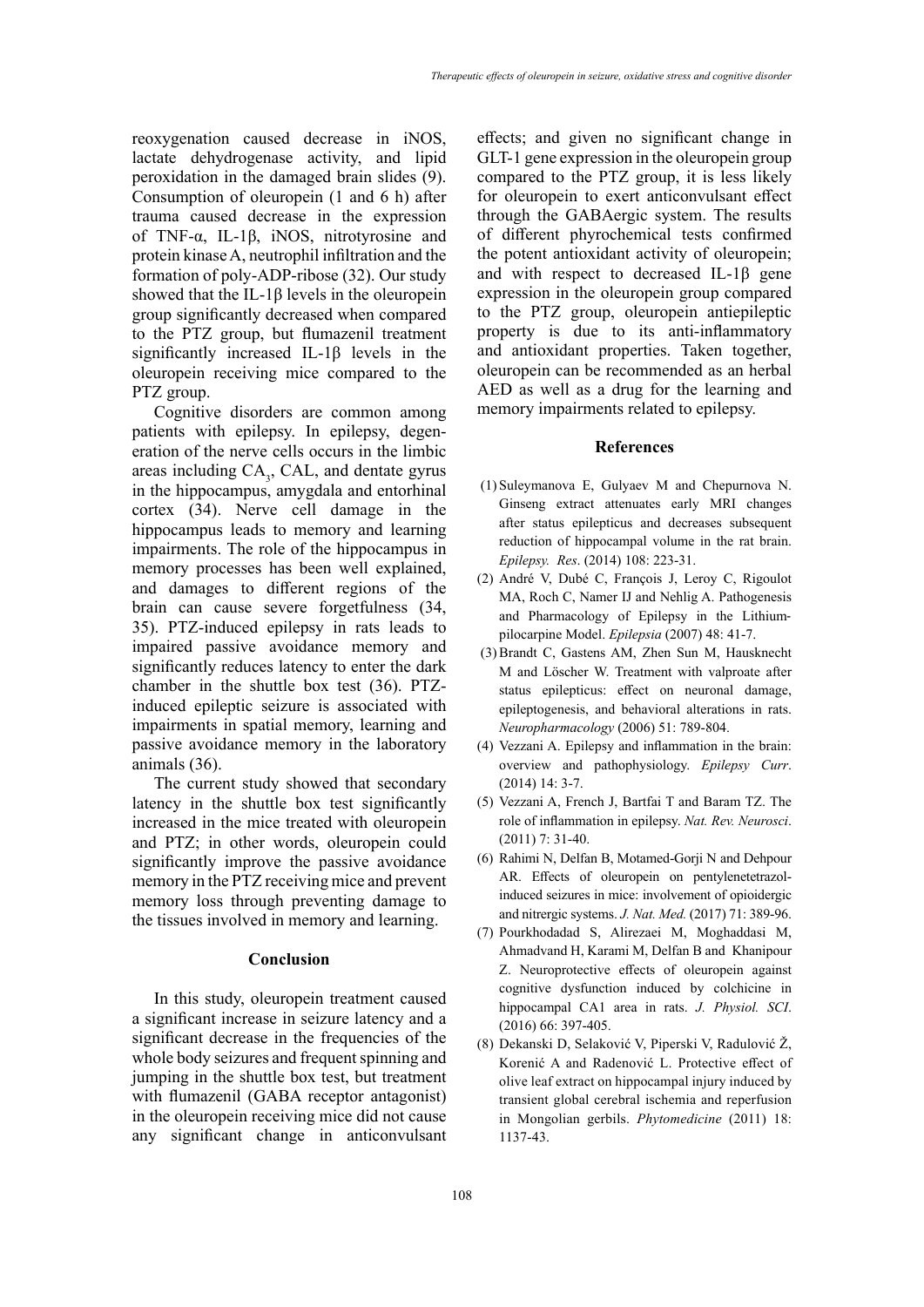reoxygenation caused decrease in iNOS, lactate dehydrogenase activity, and lipid peroxidation in the damaged brain slides (9). Consumption of oleuropein (1 and 6 h) after trauma caused decrease in the expression of TNF-α, IL-1β, iNOS, nitrotyrosine and protein kinase A, neutrophil infiltration and the formation of poly-ADP-ribose (32). Our study showed that the IL-1 $\beta$  levels in the oleuropein group significantly decreased when compared to the PTZ group, but flumazenil treatment significantly increased IL-1β levels in the oleuropein receiving mice compared to the PTZ group.

Cognitive disorders are common among patients with epilepsy. In epilepsy, degeneration of the nerve cells occurs in the limbic areas including  $CA<sub>3</sub>$ , CAL, and dentate gyrus in the hippocampus, amygdala and entorhinal cortex (34). Nerve cell damage in the hippocampus leads to memory and learning impairments. The role of the hippocampus in memory processes has been well explained, and damages to different regions of the brain can cause severe forgetfulness (34, 35). PTZ-induced epilepsy in rats leads to impaired passive avoidance memory and significantly reduces latency to enter the dark chamber in the shuttle box test (36). PTZinduced epileptic seizure is associated with impairments in spatial memory, learning and passive avoidance memory in the laboratory animals (36).

The current study showed that secondary latency in the shuttle box test significantly increased in the mice treated with oleuropein and PTZ; in other words, oleuropein could significantly improve the passive avoidance memory in the PTZ receiving mice and prevent memory loss through preventing damage to the tissues involved in memory and learning.

### **Conclusion**

In this study, oleuropein treatment caused a significant increase in seizure latency and a significant decrease in the frequencies of the whole body seizures and frequent spinning and jumping in the shuttle box test, but treatment with flumazenil (GABA receptor antagonist) in the oleuropein receiving mice did not cause any significant change in anticonvulsant

effects; and given no significant change in GLT-1 gene expression in the oleuropein group compared to the PTZ group, it is less likely for oleuropein to exert anticonvulsant effect through the GABAergic system. The results of different phyrochemical tests confirmed the potent antioxidant activity of oleuropein; and with respect to decreased IL-1β gene expression in the oleuropein group compared to the PTZ group, oleuropein antiepileptic property is due to its anti-inflammatory and antioxidant properties. Taken together, oleuropein can be recommended as an herbal AED as well as a drug for the learning and memory impairments related to epilepsy.

### **References**

- (1) Suleymanova E, Gulyaev M and Chepurnova N. Ginseng extract attenuates early MRI changes after status epilepticus and decreases subsequent reduction of hippocampal volume in the rat brain. *Epilepsy. Res*. (2014) 108: 223-31.
- (2) André V, Dubé C, François J, Leroy C, Rigoulot MA, Roch C, [Namer IJ](https://www.ncbi.nlm.nih.gov/pubmed/?term=Namer%20IJ%5BAuthor%5D&cauthor=true&cauthor_uid=17910580) and [Nehlig A](https://www.ncbi.nlm.nih.gov/pubmed/?term=Nehlig%20A%5BAuthor%5D&cauthor=true&cauthor_uid=17910580). Pathogenesis and Pharmacology of Epilepsy in the Lithium‐ pilocarpine Model. *Epilepsia* (2007) 48: 41-7.
- (3)Brandt C, Gastens AM, Zhen Sun M, Hausknecht M and Löscher W. Treatment with valproate after status epilepticus: effect on neuronal damage, epileptogenesis, and behavioral alterations in rats. *Neuropharmacology* (2006) 51: 789-804.
- (4) Vezzani A. Epilepsy and inflammation in the brain: overview and pathophysiology. *Epilepsy Curr*. (2014) 14: 3-7.
- (5) Vezzani A, French J, Bartfai T and Baram TZ. The role of inflammation in epilepsy. *Nat. Rev. Neurosci*. (2011) 7: 31-40.
- (6) Rahimi N, Delfan B, Motamed-Gorji N and Dehpour AR. Effects of oleuropein on pentylenetetrazolinduced seizures in mice: involvement of opioidergic and nitrergic systems. *J. Nat. Med.* (2017) 71: 389-96.
- (7) Pourkhodadad S, Alirezaei M, Moghaddasi M, Ahmadvand H, Karami M, Delfan B and [Khanipour](https://www.ncbi.nlm.nih.gov/pubmed/?term=Khanipour%20Z%5BAuthor%5D&cauthor=true&cauthor_uid=26892487) [Z](https://www.ncbi.nlm.nih.gov/pubmed/?term=Khanipour%20Z%5BAuthor%5D&cauthor=true&cauthor_uid=26892487). Neuroprotective effects of oleuropein against cognitive dysfunction induced by colchicine in hippocampal CA1 area in rats. *J. Physiol. SCI*. (2016) 66: 397-405.
- (8) Dekanski D, Selaković V, Piperski V, Radulović Ž, Korenić A and Radenović L. Protective effect of olive leaf extract on hippocampal injury induced by transient global cerebral ischemia and reperfusion in Mongolian gerbils. *Phytomedicine* (2011) 18: 1137-43.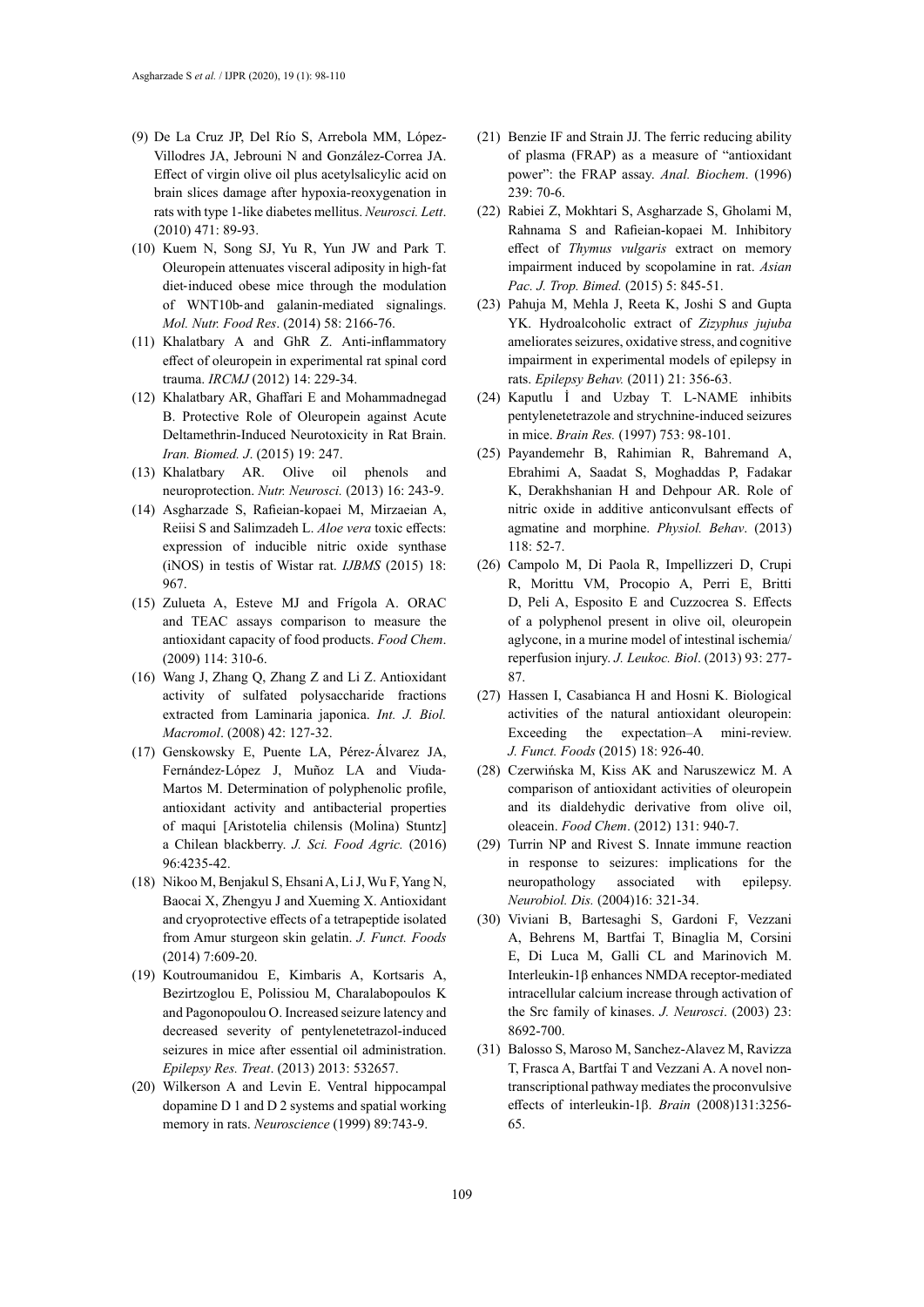- (9) De La Cruz JP, Del Río S, Arrebola MM, López-Villodres JA, Jebrouni N and González-Correa JA. Effect of virgin olive oil plus acetylsalicylic acid on brain slices damage after hypoxia-reoxygenation in rats with type 1-like diabetes mellitus. *Neurosci. Lett*. (2010) 471: 89-93.
- (10) Kuem N, Song SJ, Yu R, Yun JW and Park T. Oleuropein attenuates visceral adiposity in high‐fat diet‐induced obese mice through the modulation of WNT10b‐and galanin‐mediated signalings. *Mol. Nutr. Food Res*. (2014) 58: 2166-76.
- (11) Khalatbary A and GhR Z. Anti-inflammatory effect of oleuropein in experimental rat spinal cord trauma. *IRCMJ* (2012) 14: 229-34.
- (12) Khalatbary AR, Ghaffari E and Mohammadnegad B. Protective Role of Oleuropein against Acute Deltamethrin-Induced Neurotoxicity in Rat Brain. *Iran. Biomed. J*. (2015) 19: 247.
- (13) Khalatbary AR. Olive oil phenols and neuroprotection. *Nutr. Neurosci.* (2013) 16: 243-9.
- (14) Asgharzade S, Rafieian-kopaei M, Mirzaeian A, Reiisi S and Salimzadeh L. *Aloe vera* toxic effects: expression of inducible nitric oxide synthase (iNOS) in testis of Wistar rat. *IJBMS* (2015) 18: 967.
- (15) Zulueta A, Esteve MJ and Frígola A. ORAC and TEAC assays comparison to measure the antioxidant capacity of food products. *Food Chem*. (2009) 114: 310-6.
- (16) Wang J, Zhang Q, Zhang Z and Li Z. Antioxidant activity of sulfated polysaccharide fractions extracted from Laminaria japonica. *Int. J. Biol. Macromol*. (2008) 42: 127-32.
- (17) Genskowsky E, Puente LA, Pérez‐Álvarez JA, Fernández‐López J, Muñoz LA and Viuda‐ Martos M. Determination of polyphenolic profile, antioxidant activity and antibacterial properties of maqui [Aristotelia chilensis (Molina) Stuntz] a Chilean blackberry. *J. Sci. Food Agric.* (2016) 96:4235-42.
- (18) Nikoo M, Benjakul S, Ehsani A, Li J, Wu F, Yang N, [Baocai X,](https://www.sciencedirect.com/science/article/abs/pii/S1756464613003186) Zhengyu J and Xueming X. Antioxidant and cryoprotective effects of a tetrapeptide isolated from Amur sturgeon skin gelatin. *J. Funct. Foods* (2014) 7:609-20.
- (19) Koutroumanidou E, Kimbaris A, Kortsaris A, Bezirtzoglou E, Polissiou M, Charalabopoulos K and [Pagonopoulou O](https://www.ncbi.nlm.nih.gov/pubmed/?term=Pagonopoulou%20O%5BAuthor%5D&cauthor=true&cauthor_uid=23819045). Increased seizure latency and decreased severity of pentylenetetrazol-induced seizures in mice after essential oil administration. *[Epilepsy Res. Treat](https://www.ncbi.nlm.nih.gov/pubmed/23819045)*. (2013) 2013: 532657.
- (20) Wilkerson A and Levin E. Ventral hippocampal dopamine D 1 and D 2 systems and spatial working memory in rats. *Neuroscience* (1999) 89:743-9.
- (21) Benzie IF and Strain JJ. The ferric reducing ability of plasma (FRAP) as a measure of "antioxidant power": the FRAP assay. *Anal. Biochem*. (1996) 239: 70-6.
- (22) Rabiei Z, Mokhtari S, Asgharzade S, Gholami M, Rahnama S and Rafieian-kopaei M. Inhibitory effect of *Thymus vulgaris* extract on memory impairment induced by scopolamine in rat. *Asian Pac. J. Trop. Bimed.* (2015) 5: 845-51.
- (23) Pahuja M, Mehla J, Reeta K, Joshi S and Gupta YK. Hydroalcoholic extract of *Zizyphus jujuba* ameliorates seizures, oxidative stress, and cognitive impairment in experimental models of epilepsy in rats. *Epilepsy Behav.* (2011) 21: 356-63.
- (24) Kaputlu İ and Uzbay T. L-NAME inhibits pentylenetetrazole and strychnine-induced seizures in mice. *Brain Res.* (1997) 753: 98-101.
- (25) Payandemehr B, Rahimian R, Bahremand A, Ebrahimi A, Saadat S, Moghaddas P, [Fadakar](https://www.ncbi.nlm.nih.gov/pubmed/?term=Fadakar%20K%5BAuthor%5D&cauthor=true&cauthor_uid=23685229) [K](https://www.ncbi.nlm.nih.gov/pubmed/?term=Fadakar%20K%5BAuthor%5D&cauthor=true&cauthor_uid=23685229), [Derakhshanian H](https://www.ncbi.nlm.nih.gov/pubmed/?term=Derakhshanian%20H%5BAuthor%5D&cauthor=true&cauthor_uid=23685229) and [Dehpour AR.](https://www.ncbi.nlm.nih.gov/pubmed/?term=Dehpour%20AR%5BAuthor%5D&cauthor=true&cauthor_uid=23685229) Role of nitric oxide in additive anticonvulsant effects of agmatine and morphine. *Physiol. Behav*. (2013) 118: 52-7.
- (26) Campolo M, Di Paola R, Impellizzeri D, Crupi R, Morittu VM, Procopio A, [Perri E](https://www.ncbi.nlm.nih.gov/pubmed/?term=Perri%20E%5BAuthor%5D&cauthor=true&cauthor_uid=23233730), [Britti](https://www.ncbi.nlm.nih.gov/pubmed/?term=Britti%20D%5BAuthor%5D&cauthor=true&cauthor_uid=23233730) [D,](https://www.ncbi.nlm.nih.gov/pubmed/?term=Britti%20D%5BAuthor%5D&cauthor=true&cauthor_uid=23233730) [Peli A](https://www.ncbi.nlm.nih.gov/pubmed/?term=Peli%20A%5BAuthor%5D&cauthor=true&cauthor_uid=23233730), [Esposito E](https://www.ncbi.nlm.nih.gov/pubmed/?term=Esposito%20E%5BAuthor%5D&cauthor=true&cauthor_uid=23233730) and [Cuzzocrea S](https://www.ncbi.nlm.nih.gov/pubmed/?term=Cuzzocrea%20S%5BAuthor%5D&cauthor=true&cauthor_uid=23233730). Effects of a polyphenol present in olive oil, oleuropein aglycone, in a murine model of intestinal ischemia/ reperfusion injury. *J. Leukoc. Biol*. (2013) 93: 277- 87.
- (27) Hassen I, Casabianca H and Hosni K. Biological activities of the natural antioxidant oleuropein: Exceeding the expectation–A mini-review. *J. Funct. Foods* (2015) 18: 926-40.
- (28) Czerwińska M, Kiss AK and Naruszewicz M. A comparison of antioxidant activities of oleuropein and its dialdehydic derivative from olive oil, oleacein. *Food Chem*. (2012) 131: 940-7.
- (29) Turrin NP and Rivest S. Innate immune reaction in response to seizures: implications for the neuropathology associated with epilepsy. *[Neurobiol. Dis.](https://www.ncbi.nlm.nih.gov/pubmed/15193289)* (2004)16: 321-34.
- (30) Viviani B, Bartesaghi S, Gardoni F, Vezzani A, Behrens M, Bartfai T, [Binaglia M](https://www.ncbi.nlm.nih.gov/pubmed/?term=Binaglia%20M%5BAuthor%5D&cauthor=true&cauthor_uid=14507968), [Corsini](https://www.ncbi.nlm.nih.gov/pubmed/?term=Corsini%20E%5BAuthor%5D&cauthor=true&cauthor_uid=14507968) [E,](https://www.ncbi.nlm.nih.gov/pubmed/?term=Corsini%20E%5BAuthor%5D&cauthor=true&cauthor_uid=14507968) [Di Luca M](https://www.ncbi.nlm.nih.gov/pubmed/?term=Di%20Luca%20M%5BAuthor%5D&cauthor=true&cauthor_uid=14507968), [Galli CL](https://www.ncbi.nlm.nih.gov/pubmed/?term=Galli%20CL%5BAuthor%5D&cauthor=true&cauthor_uid=14507968) and [Marinovich M.](https://www.ncbi.nlm.nih.gov/pubmed/?term=Marinovich%20M%5BAuthor%5D&cauthor=true&cauthor_uid=14507968) Interleukin-1β enhances NMDA receptor-mediated intracellular calcium increase through activation of the Src family of kinases. *J. Neurosci*. (2003) 23: 8692-700.
- (31) Balosso S, Maroso M, Sanchez-Alavez M, Ravizza T, Frasca A, Bartfai T and [Vezzani A](https://www.ncbi.nlm.nih.gov/pubmed/?term=Vezzani%20A%5BAuthor%5D&cauthor=true&cauthor_uid=18952671). A novel nontranscriptional pathway mediates the proconvulsive effects of interleukin-1β. *Brain* (2008)131:3256- 65.